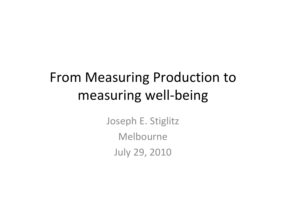# From Measuring Production to measuring well‐being

Joseph E. Stiglitz Melbourne July 29, 2010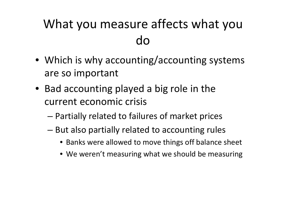### What you measure affects what you do

- Which is why accounting/accounting systems are so important
- Bad accounting played <sup>a</sup> big role in the current economic crisis
	- –Partially related to failures of market prices
	- – $-$  But also partially related to accounting rules
		- Banks were allowed to move things off balance sheet
		- We weren't measuring what we should be measuring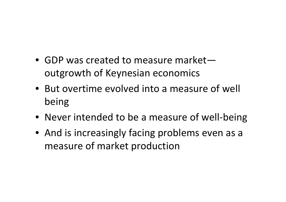- GDP was created to measure marketoutgrowth of Keynesian economics
- But overtime evolved into <sup>a</sup> measure of well being
- Never intended to be <sup>a</sup> measure of well‐being
- And is increasingly facing problems even as <sup>a</sup> measure of market production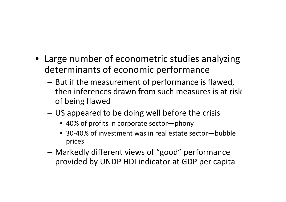- Large number of econometric studies analyzing determinants of economic performance
	- – $-$  But if the measurement of performance is flawed, then inferences drawn from such measures is at risk of being flawed
	- – US appeared to be doing well before the crisis
		- 40% of profits in corporate sector—phony
		- 30‐40% of investment was in real estate sector—bubble prices
	- Markedly different views of "good" performance provided by UNDP HDI indicator at GDP per capita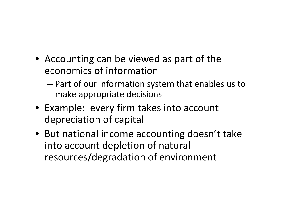- Accounting can be viewed as part of the economics of information
	- – Part of our information system that enables us to make appropriate decisions
- Example: every firm takes into account depreciation of capital
- But national income accounting doesn't take into account depletion of natural resources/degradation of environment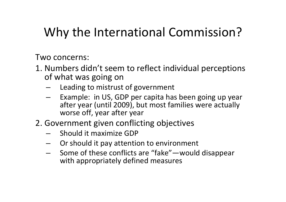### Why the International Commission?

Two concerns:

- 1. Numbers didn't seem to reflect individual perceptions of what was going on
	- Leading to mistrust of government
	- – Example: in US, GDP per capita has been going up year after year (until 2009), but most families were actually worse off, year after year
- 2. Government given conflicting objectives
	- Should it maximize GDP
	- Or should it pay attention to environment
	- Some of these conflicts are "fake"—would disappear with appropriately defined measures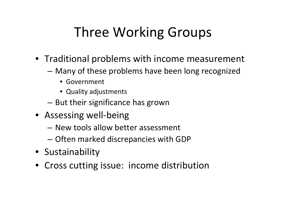# Three Working Groups

- Traditional problems with income measurement
	- Many of these problems have been long recognized
		- Government
		- Quality adjustments
	- – $-$  But their significance has grown
- Assessing well-being
	- New tools allow better assessment
	- Often marked discrepancies with GDP
- Sustainability
- Cross cutting issue: income distribution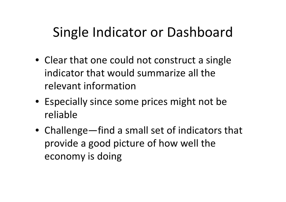## Single Indicator or Dashboard

- Clear that one could not construct <sup>a</sup> single indicator that would summarize all the relevant information
- Especially since some prices might not be reliable
- Challenge—find <sup>a</sup> small set of indicators that provide <sup>a</sup> good picture of how well the economy is doing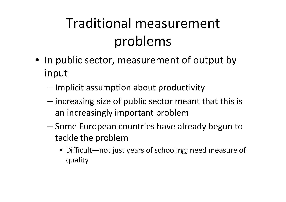# Traditional measurement problems

- In public sector, measurement of output by input
	- – $-$  Implicit assumption about productivity
	- increasing size of public sector meant that this is an increasingly important problem
	- – Some European countries have already begun to tackle the problem
		- Difficult—not just years of schooling; need measure of quality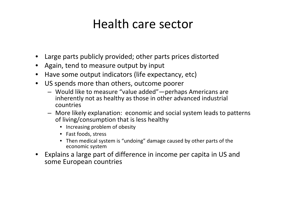#### Health care sector

- Large parts publicly provided; other parts prices distorted
- Again, tend to measure output by input
- $\bullet$ • Have some output indicators (life expectancy, etc)
- $\bullet$  US spends more than others, outcome poorer
	- Would like to measure "value added"—perhaps Americans are inherently not as healthy as those in other advanced industrial countries
	- More likely explanation: economic and social system leads to patterns of living/consumption that is less healthy
		- Increasing problem of obesity
		- Fast foods, stress
		- Then medical system is "undoing" damage caused by other parts of the economic system
- Explains <sup>a</sup> large part of difference in income per capita in US and some European countries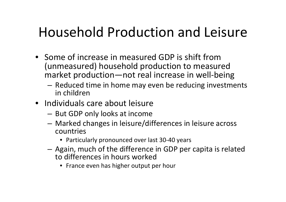## Household Production and Leisure

- Some of increase in measured GDP is shift from (unmeasured) household production to measured market production—not real increase in well‐being
	- – $-$  Reduced time in home may even be reducing investments in children
- Individuals care about leisure
	- – $-$  But GDP only looks at income
	- Marked changes in leisure/differences in leisure across countries
		- Particularly pronounced over last 30‐40 years
	- – Again, much of the difference in GDP per capita is related to differences in hours worked
		- France even has higher output per hour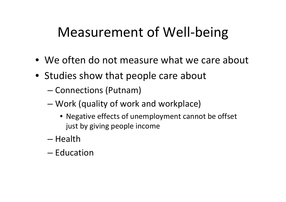## Measurement of Well-being

- We often do not measure what we care about
- Studies show that people care about
	- –- Connections (Putnam)
	- – Work (quality of work and workplace)
		- Negative effects of unemployment cannot be offset just by giving people income
	- Health
	- Education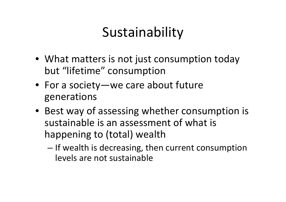# Sustainability

- What matters is not just consumption today but "lifetime" consumption
- For a society—we care about future generations
- Best way of assessing whether consumption is sustainable is an assessment of what is happening to (total) wealth
	- – $-$  If wealth is decreasing, then current consumption levels are not sustainable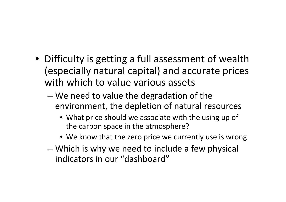- Difficulty is getting <sup>a</sup> full assessment of wealth (especially natural capital) and accurate prices with which to value various assets
	- – We need to value the degradation of the environment, the depletion of natural resources
		- What price should we associate with the using up of the carbon space in the atmosphere?
		- We know that the zero price we currently use is wrong
	- – Which is why we need to include <sup>a</sup> few physical indicators in our "dashboard"